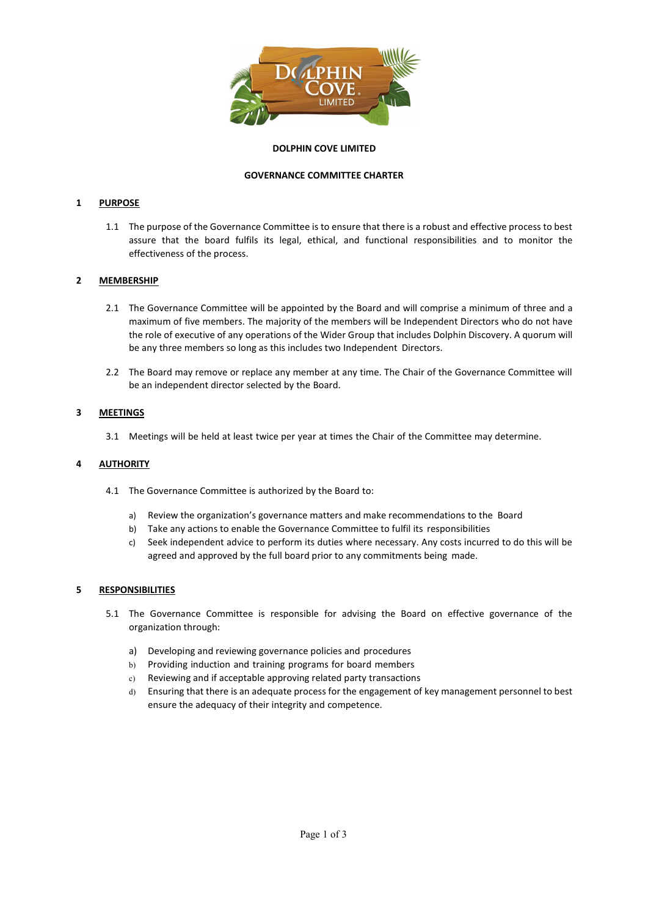

## DOLPHIN COVE LIMITED

# GOVERNANCE COMMITTEE CHARTER

# 1 PURPOSE

1.1 The purpose of the Governance Committee is to ensure that there is a robust and effective process to best assure that the board fulfils its legal, ethical, and functional responsibilities and to monitor the effectiveness of the process.

## 2 MEMBERSHIP

- 2.1 The Governance Committee will be appointed by the Board and will comprise a minimum of three and a maximum of five members. The majority of the members will be Independent Directors who do not have the role of executive of any operations of the Wider Group that includes Dolphin Discovery. A quorum will be any three members so long as this includes two Independent Directors.
- 2.2 The Board may remove or replace any member at any time. The Chair of the Governance Committee will be an independent director selected by the Board.

## 3 MEETINGS

3.1 Meetings will be held at least twice per year at times the Chair of the Committee may determine.

## 4 AUTHORITY

- 4.1 The Governance Committee is authorized by the Board to:
	- a) Review the organization's governance matters and make recommendations to the Board
	- b) Take any actions to enable the Governance Committee to fulfil its responsibilities
	- c) Seek independent advice to perform its duties where necessary. Any costs incurred to do this will be agreed and approved by the full board prior to any commitments being made.

## 5 RESPONSIBILITIES

- 5.1 The Governance Committee is responsible for advising the Board on effective governance of the organization through:
	- a) Developing and reviewing governance policies and procedures
	- b) Providing induction and training programs for board members
	- c) Reviewing and if acceptable approving related party transactions
	- d) Ensuring that there is an adequate process for the engagement of key management personnel to best ensure the adequacy of their integrity and competence.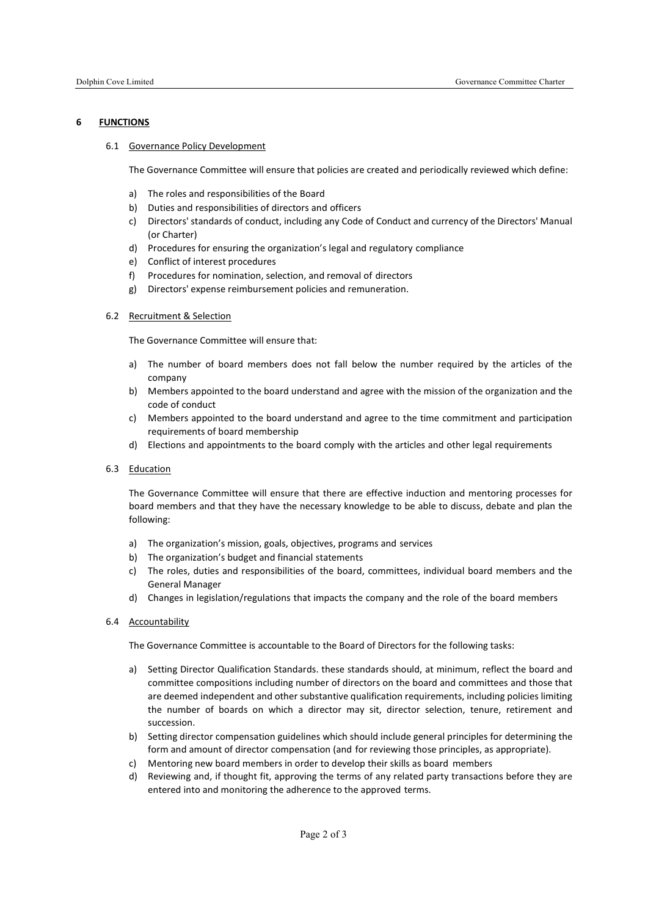### 6 FUNCTIONS

### 6.1 Governance Policy Development

The Governance Committee will ensure that policies are created and periodically reviewed which define:

- a) The roles and responsibilities of the Board
- b) Duties and responsibilities of directors and officers
- c) Directors' standards of conduct, including any Code of Conduct and currency of the Directors' Manual (or Charter)
- d) Procedures for ensuring the organization's legal and regulatory compliance
- e) Conflict of interest procedures
- f) Procedures for nomination, selection, and removal of directors
- g) Directors' expense reimbursement policies and remuneration.

#### 6.2 Recruitment & Selection

The Governance Committee will ensure that:

- a) The number of board members does not fall below the number required by the articles of the company
- b) Members appointed to the board understand and agree with the mission of the organization and the code of conduct
- c) Members appointed to the board understand and agree to the time commitment and participation requirements of board membership
- d) Elections and appointments to the board comply with the articles and other legal requirements
- 6.3 Education

The Governance Committee will ensure that there are effective induction and mentoring processes for board members and that they have the necessary knowledge to be able to discuss, debate and plan the following:

- a) The organization's mission, goals, objectives, programs and services
- b) The organization's budget and financial statements
- c) The roles, duties and responsibilities of the board, committees, individual board members and the General Manager
- d) Changes in legislation/regulations that impacts the company and the role of the board members
- 6.4 Accountability

The Governance Committee is accountable to the Board of Directors for the following tasks:

- a) Setting Director Qualification Standards. these standards should, at minimum, reflect the board and committee compositions including number of directors on the board and committees and those that are deemed independent and other substantive qualification requirements, including policies limiting the number of boards on which a director may sit, director selection, tenure, retirement and succession.
- b) Setting director compensation guidelines which should include general principles for determining the form and amount of director compensation (and for reviewing those principles, as appropriate).
- c) Mentoring new board members in order to develop their skills as board members
- d) Reviewing and, if thought fit, approving the terms of any related party transactions before they are entered into and monitoring the adherence to the approved terms.